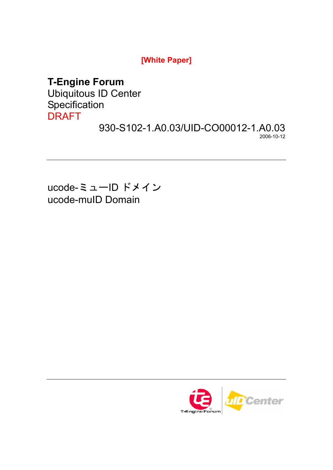**[White Paper]** 

# **T-Engine Forum**

Ubiquitous ID Center **Specification** DRAFT

930-S102-1.A0.03/UID-CO00012-1.A0.03 2006-10-12

ucode-ミューID ドメイン ucode-muID Domain

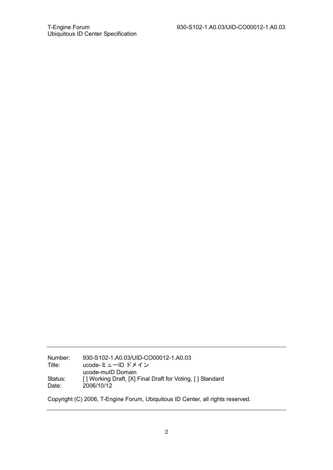Number: 930-S102-1.A0.03/UID-CO00012-1.A0.03 Title: ucode-ミューID ドメイン ucode-muID Domain<br>Status: [] Working Draft, [X] P<br>Date: 2006/10/12 [ ] Working Draft, [X] Final Draft for Voting, [ ] Standard Date: 2006/10/12

Copyright (C) 2006, T-Engine Forum, Ubiquitous ID Center, all rights reserved.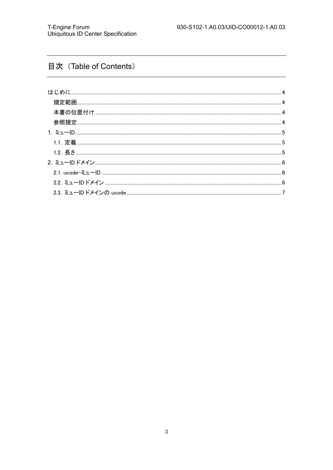# 目次 (Table of Contents)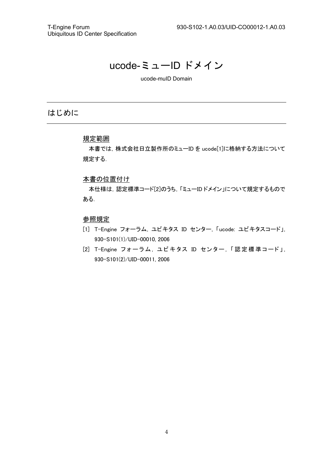# ucode-ミューID ドメイン

ucode-muID Domain

## はじめに

### 規定範囲

本書では,株式会社日立製作所のミューID を ucode[1]に格納する方法について 規定する.

#### 本書の位置付け

本仕様は,認定標準コード[2]のうち,「ミューID ドメイン」について規定するもので ある.

#### 参照規定

- [1] T-Engine フォーラム, ユビキタス ID センター, 「ucode: ユビキタスコード」, 930-S101(1)/UID-00010, 2006
- [2] T-Engine フォーラム, ユビキタス ID センター, 「認 定 標 準コード」, 930-S101(2)/UID-00011, 2006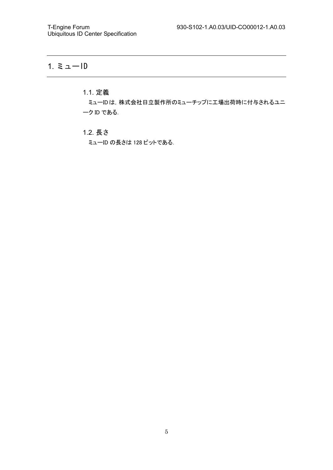# 1. ミューID

## 1.1. 定義

ミューIDは,株式会社日立製作所のミューチップに工場出荷時に付与されるユニ ーク ID である.

### 1.2. 長さ

ミューID の長さは 128 ビットである.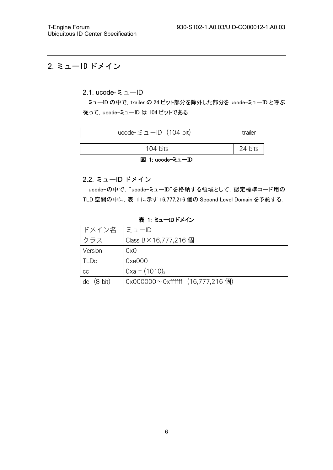## 2. ミューID ドメイン

### 2.1. ucode-ミューID

ミューID の中で, trailer の 24 ビット部分を除外した部分を ucode-ミューID と呼ぶ. 従って,ucode-ミューID は 104 ビットである.

| 図 1; ucode-ミューID                  |         |
|-----------------------------------|---------|
| $104 \text{ bits}$                | 24 bits |
| ucode- $\equiv \pm$ -ID (104 bit) | trailer |

2.2. ミューID ドメイン

ucode-の中で, "ucode-ミューID"を格納する領域として, 認定標準コード用の TLD 空間の中に,表 1 に示す 16,777,216 個の Second Level Domain を予約する.

表 1: ミューID ドメイン

| ドメイン名                   | IミューID                                   |
|-------------------------|------------------------------------------|
| クラス                     | Class B × 16,777,216 個                   |
| Version                 | 0x0                                      |
| <b>TLDc</b>             | 0xe000                                   |
| CC                      | $0xa = (1010)_2$                         |
| $(8 \text{ bit})$<br>dc | $0x0000000^\circ$ Oxffffff (16,777,216個) |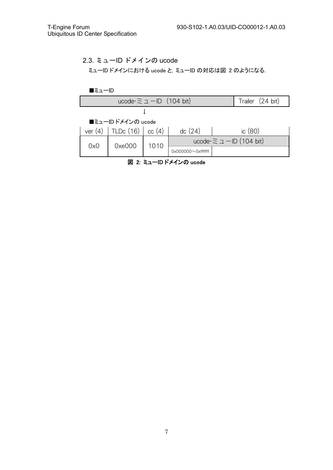### 2.3. ミューID ドメインの ucode

ミューID ドメインにおける ucode と,ミューID の対応は図 2 のようになる.



図 2: ミューID ドメインの ucode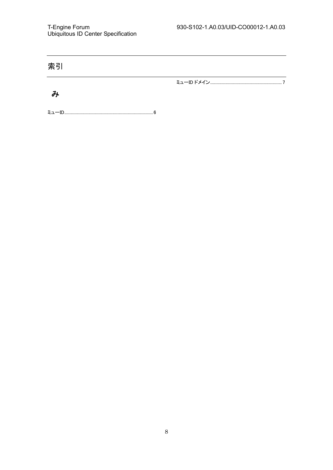| 索引 |  |
|----|--|
|    |  |
|    |  |

ミューID........................................................................................6